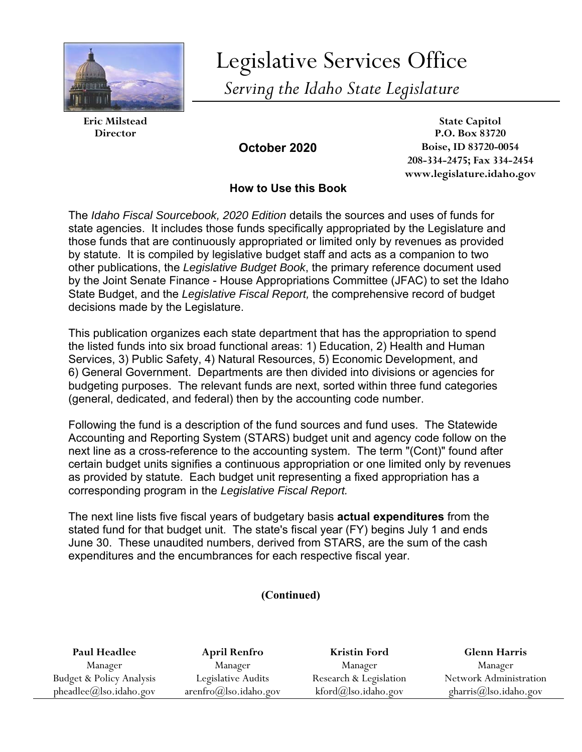

Legislative Services Office *Serving the Idaho State Legislature* 

**Eric Milstead State Capitol Director P.O. Box 83720 October 2020 Boise, ID 83720-0054 208-334-2475; Fax 334-2454 www.legislature.idaho.gov** 

# **How to Use this Book**

The *Idaho Fiscal Sourcebook, 2020 Edition* details the sources and uses of funds for state agencies. It includes those funds specifically appropriated by the Legislature and those funds that are continuously appropriated or limited only by revenues as provided by statute. It is compiled by legislative budget staff and acts as a companion to two other publications, the *Legislative Budget Book*, the primary reference document used by the Joint Senate Finance - House Appropriations Committee (JFAC) to set the Idaho State Budget, and the *Legislative Fiscal Report,* the comprehensive record of budget decisions made by the Legislature.

This publication organizes each state department that has the appropriation to spend the listed funds into six broad functional areas: 1) Education, 2) Health and Human Services, 3) Public Safety, 4) Natural Resources, 5) Economic Development, and 6) General Government. Departments are then divided into divisions or agencies for budgeting purposes. The relevant funds are next, sorted within three fund categories (general, dedicated, and federal) then by the accounting code number.

Following the fund is a description of the fund sources and fund uses. The Statewide Accounting and Reporting System (STARS) budget unit and agency code follow on the next line as a cross-reference to the accounting system. The term "(Cont)" found after certain budget units signifies a continuous appropriation or one limited only by revenues as provided by statute. Each budget unit representing a fixed appropriation has a corresponding program in the *Legislative Fiscal Report.* 

The next line lists five fiscal years of budgetary basis **actual expenditures** from the stated fund for that budget unit. The state's fiscal year (FY) begins July 1 and ends June 30. These unaudited numbers, derived from STARS, are the sum of the cash expenditures and the encumbrances for each respective fiscal year.

## **(Continued)**

| Paul Headlee                          | <b>April Renfro</b>               | <b>Kristin Ford</b>    | <b>Glenn Harris</b>    |
|---------------------------------------|-----------------------------------|------------------------|------------------------|
| Manager                               | Manager                           | Manager                | Manager                |
| <b>Budget &amp; Policy Analysis</b>   | Legislative Audits                | Research & Legislation | Network Administration |
| $pheadlee(\mathcal{Q})$ lso.idaho.gov | $arenfro(\partial)$ lso.idaho.gov | $kford@$ lso.idaho.gov | gharris@lso.idaho.gov  |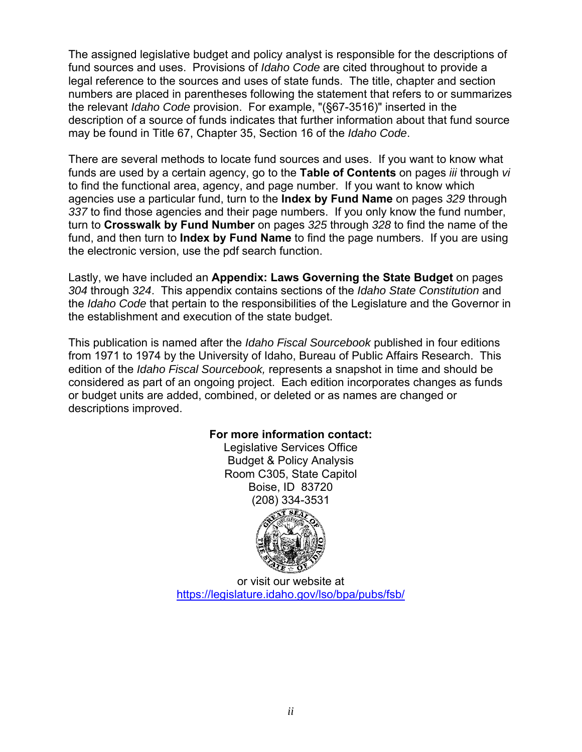The assigned legislative budget and policy analyst is responsible for the descriptions of fund sources and uses. Provisions of *Idaho Code* are cited throughout to provide a legal reference to the sources and uses of state funds. The title, chapter and section numbers are placed in parentheses following the statement that refers to or summarizes the relevant *Idaho Code* provision. For example, "(§67-3516)" inserted in the description of a source of funds indicates that further information about that fund source may be found in Title 67, Chapter 35, Section 16 of the *Idaho Code*.

There are several methods to locate fund sources and uses. If you want to know what funds are used by a certain agency, go to the **Table of Contents** on pages *iii* through *vi* to find the functional area, agency, and page number. If you want to know which agencies use a particular fund, turn to the **Index by Fund Name** on pages *329* through *337* to find those agencies and their page numbers. If you only know the fund number, turn to **Crosswalk by Fund Number** on pages *325* through *328* to find the name of the fund, and then turn to **Index by Fund Name** to find the page numbers. If you are using the electronic version, use the pdf search function.

Lastly, we have included an **Appendix: Laws Governing the State Budget** on pages *304* through *324*. This appendix contains sections of the *Idaho State Constitution* and the *Idaho Code* that pertain to the responsibilities of the Legislature and the Governor in the establishment and execution of the state budget.

This publication is named after the *Idaho Fiscal Sourcebook* published in four editions from 1971 to 1974 by the University of Idaho, Bureau of Public Affairs Research. This edition of the *Idaho Fiscal Sourcebook,* represents a snapshot in time and should be considered as part of an ongoing project. Each edition incorporates changes as funds or budget units are added, combined, or deleted or as names are changed or descriptions improved.

## **For more information contact:**

Legislative Services Office Budget & Policy Analysis Room C305, State Capitol Boise, ID 83720 (208) 334-3531



or visit our website at https://legislature.idaho.gov/lso/bpa/pubs/fsb/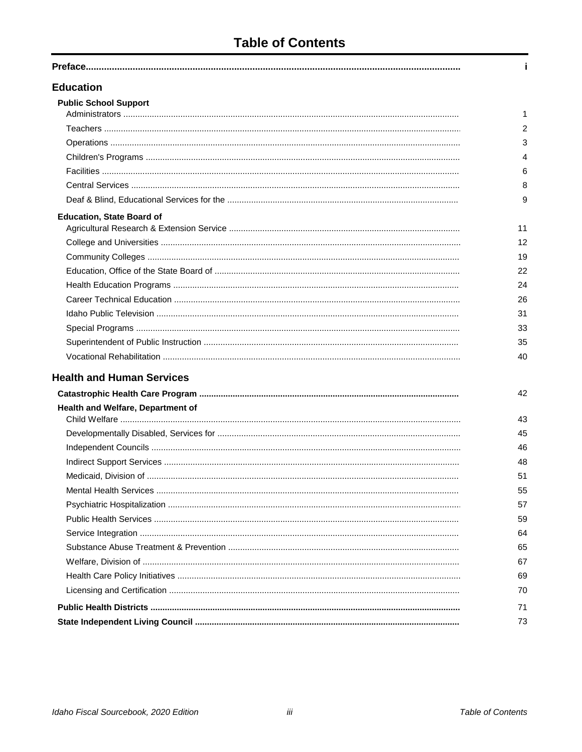# **Table of Contents**

| <b>Education</b>                  |                |
|-----------------------------------|----------------|
| <b>Public School Support</b>      |                |
|                                   | 1              |
|                                   | $\overline{2}$ |
|                                   | 3              |
|                                   | 4              |
|                                   | 6              |
|                                   | 8              |
|                                   | 9              |
| <b>Education, State Board of</b>  |                |
|                                   | 11             |
|                                   | 12             |
|                                   | 19             |
|                                   | 22             |
|                                   | 24             |
|                                   | 26             |
|                                   | 31             |
|                                   | 33             |
|                                   | 35             |
|                                   | 40             |
| <b>Health and Human Services</b>  |                |
|                                   | 42             |
| Health and Welfare, Department of |                |
|                                   | 43             |
|                                   | 45             |
|                                   | 46             |
|                                   | 48             |
|                                   | 51             |
|                                   | 55             |
|                                   | 57             |
|                                   | 59             |
|                                   | 64             |
|                                   | 65             |
|                                   | 67             |
|                                   | 69             |
|                                   | 70             |
|                                   | 71             |
|                                   | 73             |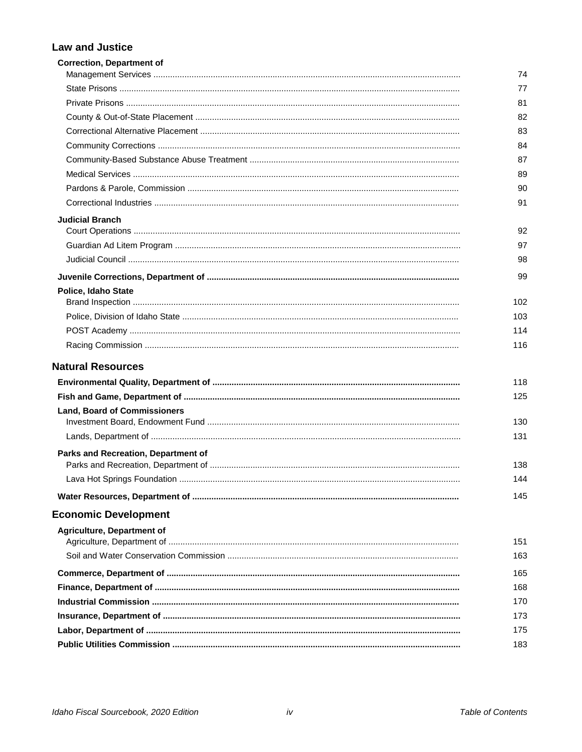#### **Law and Justice**

| <b>Correction, Department of</b>    | 74  |
|-------------------------------------|-----|
|                                     | 77  |
|                                     | 81  |
|                                     | 82  |
|                                     | 83  |
|                                     | 84  |
|                                     | 87  |
|                                     | 89  |
|                                     | 90  |
|                                     | 91  |
|                                     |     |
| <b>Judicial Branch</b>              | 92  |
|                                     | 97  |
|                                     | 98  |
|                                     | 99  |
| Police, Idaho State                 |     |
|                                     | 102 |
|                                     | 103 |
|                                     | 114 |
|                                     | 116 |
| <b>Natural Resources</b>            |     |
|                                     | 118 |
|                                     | 125 |
| <b>Land, Board of Commissioners</b> |     |
|                                     | 130 |
|                                     | 131 |
| Parks and Recreation, Department of |     |
|                                     | 138 |
|                                     | 144 |
|                                     | 145 |
| <b>Economic Development</b>         |     |
| <b>Agriculture, Department of</b>   |     |
|                                     | 151 |
|                                     | 163 |
|                                     | 165 |
|                                     | 168 |
|                                     | 170 |
|                                     | 173 |
|                                     | 175 |
|                                     | 183 |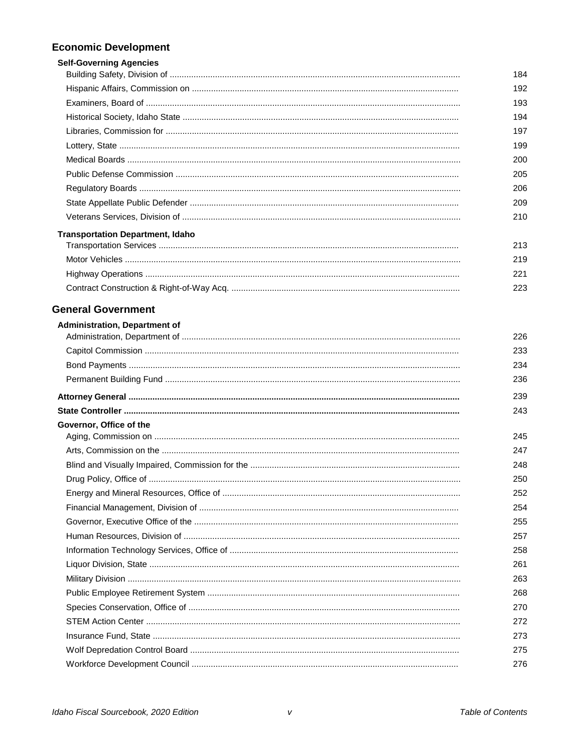# **Economic Development**

| <b>Self-Governing Agencies</b>          |     |
|-----------------------------------------|-----|
|                                         | 184 |
|                                         | 192 |
|                                         | 193 |
|                                         | 194 |
|                                         | 197 |
|                                         | 199 |
|                                         | 200 |
|                                         | 205 |
|                                         | 206 |
|                                         | 209 |
|                                         | 210 |
| <b>Transportation Department, Idaho</b> |     |
|                                         | 213 |
|                                         | 219 |
|                                         | 221 |
|                                         | 223 |

#### **General Government**

| <b>Administration, Department of</b> |     |
|--------------------------------------|-----|
|                                      | 226 |
|                                      | 233 |
|                                      | 234 |
|                                      | 236 |
|                                      | 239 |
|                                      | 243 |
| Governor, Office of the              |     |
|                                      | 245 |
|                                      | 247 |
|                                      | 248 |
|                                      | 250 |
|                                      | 252 |
|                                      | 254 |
|                                      | 255 |
|                                      | 257 |
|                                      | 258 |
|                                      | 261 |
|                                      | 263 |
|                                      | 268 |
|                                      | 270 |
|                                      | 272 |
|                                      | 273 |
|                                      | 275 |
|                                      | 276 |